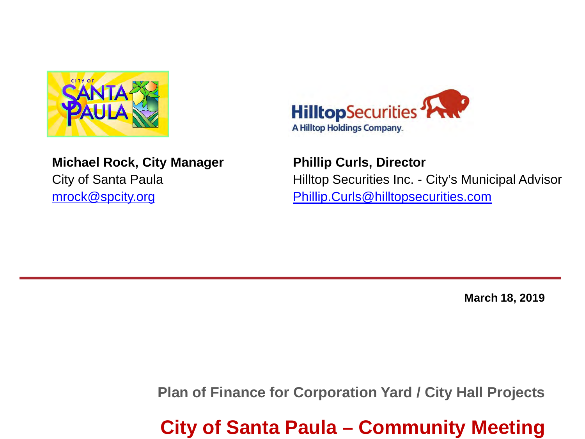

**Michael Rock, City Manager** City of Santa Paula [mrock@spcity.org](mailto:mrock@spcity.org)



**Phillip Curls, Director**  Hilltop Securities Inc. - City's Municipal Advisor [Phillip.Curls@hilltopsecurities.com](mailto:Phillip.Curls@hilltopsecurities.com)

**March 18, 2019**

**Plan of Finance for Corporation Yard / City Hall Projects**

**City of Santa Paula – Community Meeting**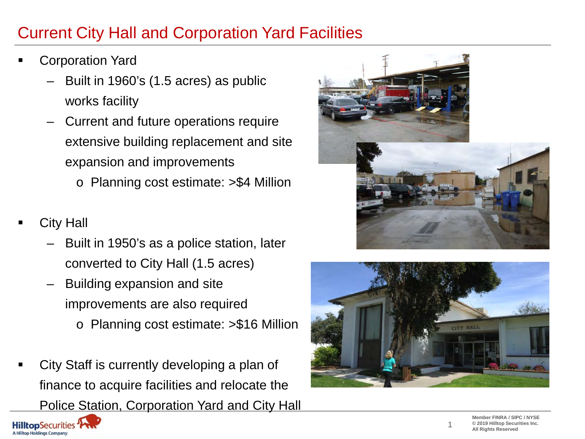## Current City Hall and Corporation Yard Facilities

- Corporation Yard
	- Built in 1960's (1.5 acres) as public works facility
	- Current and future operations require extensive building replacement and site expansion and improvements
		- o Planning cost estimate: >\$4 Million
- City Hall
	- Built in 1950's as a police station, later converted to City Hall (1.5 acres)
	- Building expansion and site improvements are also required o Planning cost estimate: >\$16 Million
	- City Staff is currently developing a plan of finance to acquire facilities and relocate the Police Station, Corporation Yard and City Hall





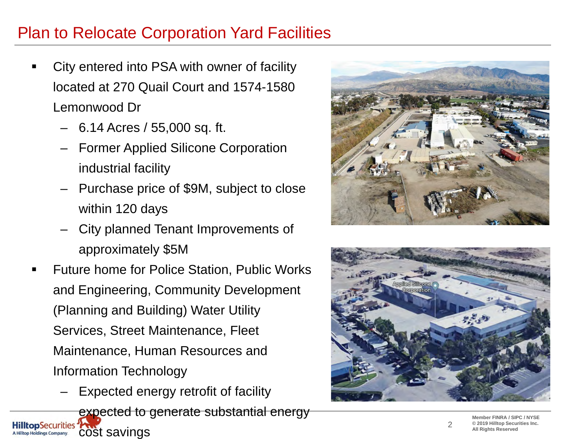### Plan to Relocate Corporation Yard Facilities

- City entered into PSA with owner of facility located at 270 Quail Court and 1574-1580 Lemonwood Dr
	- 6.14 Acres / 55,000 sq. ft.
	- Former Applied Silicone Corporation industrial facility
	- Purchase price of \$9M, subject to close within 120 days
	- City planned Tenant Improvements of approximately \$5M
- Future home for Police Station, Public Works and Engineering, Community Development (Planning and Building) Water Utility Services, Street Maintenance, Fleet Maintenance, Human Resources and Information Technology
	- Expected energy retrofit of facility

expected to generate substantial energy **HilltopSecurities** cost savings**A Hilltop Holdings Company.** 





2

**Member FINRA / SIPC / NYSE © 2019 Hilltop Securities Inc. All Rights Reserved**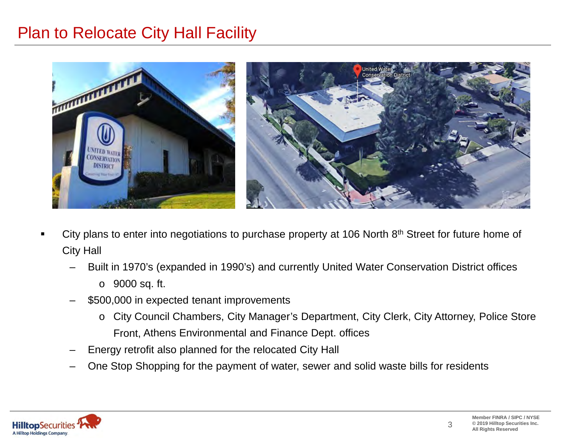#### Plan to Relocate City Hall Facility



- City plans to enter into negotiations to purchase property at 106 North 8<sup>th</sup> Street for future home of City Hall
	- Built in 1970's (expanded in 1990's) and currently United Water Conservation District offices
		- o 9000 sq. ft.
	- \$500,000 in expected tenant improvements
		- o City Council Chambers, City Manager's Department, City Clerk, City Attorney, Police Store Front, Athens Environmental and Finance Dept. offices
	- Energy retrofit also planned for the relocated City Hall
	- One Stop Shopping for the payment of water, sewer and solid waste bills for residents

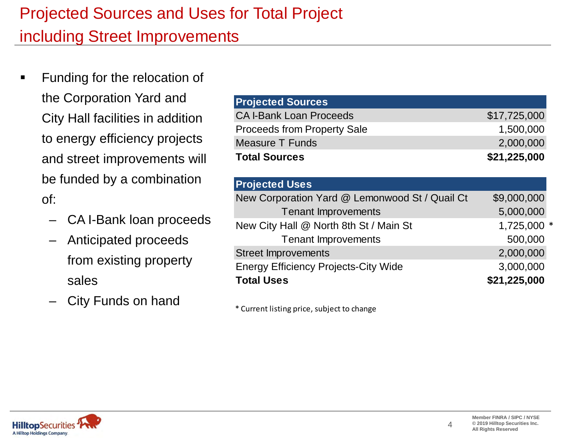# Projected Sources and Uses for Total Project including Street Improvements

- Funding for the relocation of the Corporation Yard and City Hall facilities in addition to energy efficiency projects and street improvements will be funded by a combination of:
	- CA I-Bank loan proceeds
	- Anticipated proceeds from existing property sales
	- City Funds on hand

| <b>Projected Sources</b>           |              |
|------------------------------------|--------------|
| <b>CA I-Bank Loan Proceeds</b>     | \$17,725,000 |
| <b>Proceeds from Property Sale</b> | 1,500,000    |
| <b>Measure T Funds</b>             | 2,000,000    |
| <b>Total Sources</b>               | \$21,225,000 |

| <b>Projected Uses</b>                          |              |
|------------------------------------------------|--------------|
| New Corporation Yard @ Lemonwood St / Quail Ct | \$9,000,000  |
| <b>Tenant Improvements</b>                     | 5,000,000    |
| New City Hall @ North 8th St / Main St         | 1,725,000 *  |
| <b>Tenant Improvements</b>                     | 500,000      |
| <b>Street Improvements</b>                     | 2,000,000    |
| <b>Energy Efficiency Projects-City Wide</b>    | 3,000,000    |
| <b>Total Uses</b>                              | \$21,225,000 |

\* Current listing price, subject to change

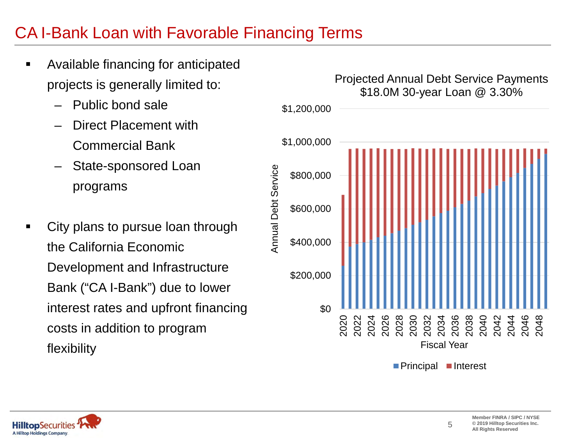#### CA I-Bank Loan with Favorable Financing Terms

- **EXEC** Available financing for anticipated projects is generally limited to:
	- Public bond sale
	- Direct Placement with Commercial Bank
	- State-sponsored Loan programs
- City plans to pursue loan through the California Economic Development and Infrastructure Bank ("CA I-Bank") due to lower interest rates and upfront financing costs in addition to program flexibility



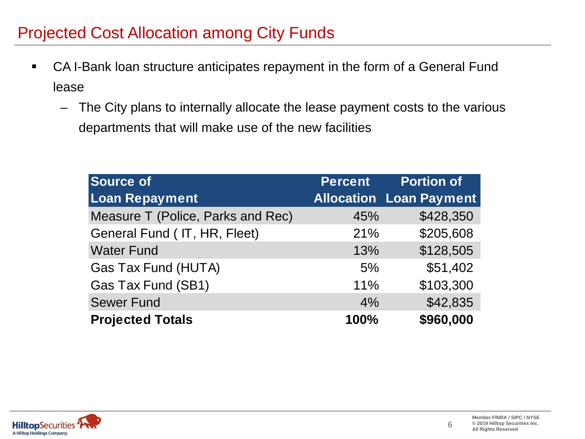### Projected Cost Allocation among City Funds

- CA I-Bank loan structure anticipates repayment in the form of a General Fund lease
	- The City plans to internally allocate the lease payment costs to the various departments that will make use of the new facilities

| <b>Source of</b>                  | <b>Percent</b> | <b>Portion of</b>              |
|-----------------------------------|----------------|--------------------------------|
| <b>Loan Repayment</b>             |                | <b>Allocation Loan Payment</b> |
| Measure T (Police, Parks and Rec) | 45%            | \$428,350                      |
| General Fund (IT, HR, Fleet)      | 21%            | \$205,608                      |
| <b>Water Fund</b>                 | 13%            | \$128,505                      |
| Gas Tax Fund (HUTA)               | 5%             | \$51,402                       |
| Gas Tax Fund (SB1)                | 11%            | \$103,300                      |
| <b>Sewer Fund</b>                 | 4%             | \$42,835                       |
| <b>Projected Totals</b>           | 100%           | \$960,000                      |

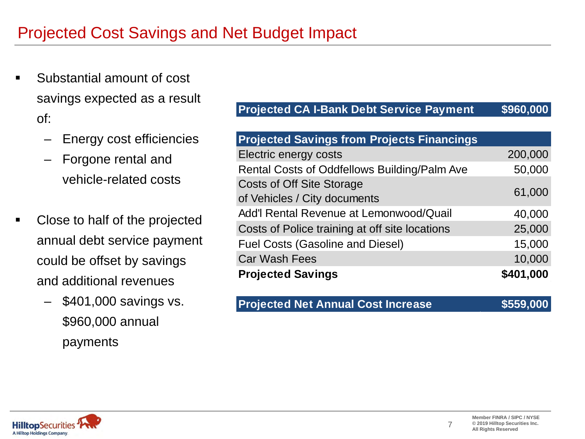- Substantial amount of cost savings expected as a result of:
	- Energy cost efficiencies
	- Forgone rental and vehicle-related costs
- Close to half of the projected annual debt service payment could be offset by savings and additional revenues
	- \$401,000 savings vs. \$960,000 annual payments

#### **Projected CA I-Bank Debt Service Payment \$960,000**

| <b>Projected Savings from Projects Financings</b>                |           |
|------------------------------------------------------------------|-----------|
| Electric energy costs                                            | 200,000   |
| Rental Costs of Oddfellows Building/Palm Ave                     | 50,000    |
| <b>Costs of Off Site Storage</b><br>of Vehicles / City documents | 61,000    |
| Add'l Rental Revenue at Lemonwood/Quail                          | 40,000    |
| Costs of Police training at off site locations                   | 25,000    |
| <b>Fuel Costs (Gasoline and Diesel)</b>                          | 15,000    |
| <b>Car Wash Fees</b>                                             | 10,000    |
| <b>Projected Savings</b>                                         | \$401,000 |

#### **Projected Net Annual Cost Increase \$559,000**

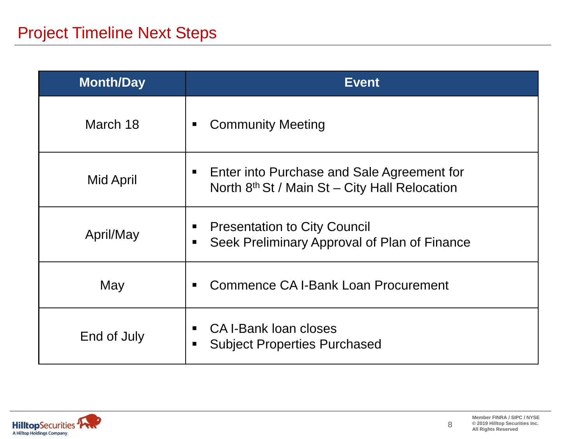| <b>Month/Day</b> | <b>Event</b>                                                                                                 |
|------------------|--------------------------------------------------------------------------------------------------------------|
| March 18         | <b>Community Meeting</b><br>п                                                                                |
| Mid April        | Enter into Purchase and Sale Agreement for<br>п<br>North 8 <sup>th</sup> St / Main St – City Hall Relocation |
| April/May        | <b>Presentation to City Council</b><br>п<br>Seek Preliminary Approval of Plan of Finance<br>п                |
| May              | Commence CA I-Bank Loan Procurement<br>■                                                                     |
| End of July      | CA I-Bank Ioan closes<br>п<br><b>Subject Properties Purchased</b><br>п                                       |